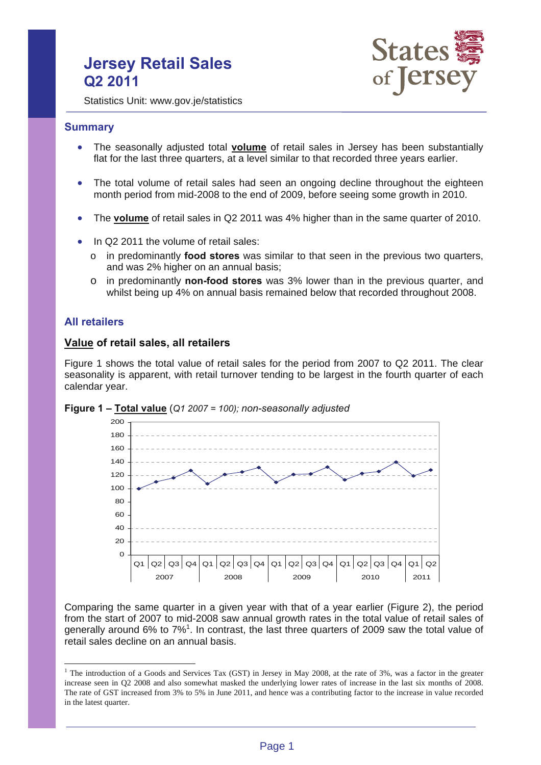# **Jersey Retail Sales Q2 2011**



Statistics Unit: www.gov.je/statistics

#### **Summary**

- The seasonally adjusted total **volume** of retail sales in Jersey has been substantially flat for the last three quarters, at a level similar to that recorded three years earlier.
- The total volume of retail sales had seen an ongoing decline throughout the eighteen month period from mid-2008 to the end of 2009, before seeing some growth in 2010.
- The **volume** of retail sales in Q2 2011 was 4% higher than in the same quarter of 2010.
- In Q2 2011 the volume of retail sales:
	- o in predominantly **food stores** was similar to that seen in the previous two quarters, and was 2% higher on an annual basis;
	- o in predominantly **non-food stores** was 3% lower than in the previous quarter, and whilst being up 4% on annual basis remained below that recorded throughout 2008.

## **All retailers**

 $\overline{a}$ 

### **Value of retail sales, all retailers**

Figure 1 shows the total value of retail sales for the period from 2007 to Q2 2011. The clear seasonality is apparent, with retail turnover tending to be largest in the fourth quarter of each calendar year.





Comparing the same quarter in a given year with that of a year earlier (Figure 2), the period from the start of 2007 to mid-2008 saw annual growth rates in the total value of retail sales of generally around 6% to 7%<sup>1</sup>. In contrast, the last three quarters of 2009 saw the total value of retail sales decline on an annual basis.

<sup>&</sup>lt;sup>1</sup> The introduction of a Goods and Services Tax (GST) in Jersey in May 2008, at the rate of 3%, was a factor in the greater increase seen in Q2 2008 and also somewhat masked the underlying lower rates of increase in the last six months of 2008. The rate of GST increased from 3% to 5% in June 2011, and hence was a contributing factor to the increase in value recorded in the latest quarter.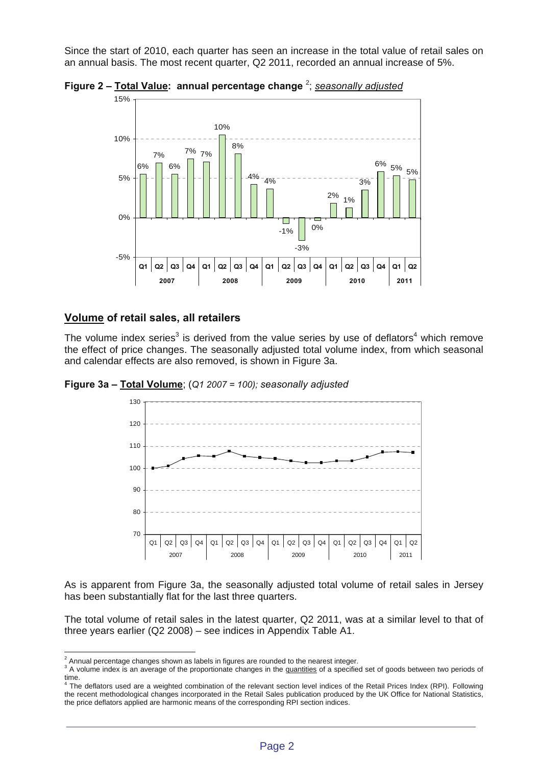Since the start of 2010, each quarter has seen an increase in the total value of retail sales on an annual basis. The most recent quarter, Q2 2011, recorded an annual increase of 5%.



**Figure 2 – Total Value: annual percentage change** <sup>2</sup> ; *seasonally adjusted*

## **Volume of retail sales, all retailers**

The volume index series<sup>3</sup> is derived from the value series by use of deflators<sup>4</sup> which remove the effect of price changes. The seasonally adjusted total volume index, from which seasonal and calendar effects are also removed, is shown in Figure 3a.

**Figure 3a – Total Volume**; (*Q1 2007 = 100); seasonally adjusted*



As is apparent from Figure 3a, the seasonally adjusted total volume of retail sales in Jersey has been substantially flat for the last three quarters.

The total volume of retail sales in the latest quarter, Q2 2011, was at a similar level to that of three years earlier (Q2 2008) – see indices in Appendix Table A1.

 $\overline{a}$  $^2$  Annual percentage changes shown as labels in figures are rounded to the nearest integer.

<sup>&</sup>lt;sup>3</sup> A volume index is an average of the proportionate changes in the quantities of a specified set of goods between two periods of time.<br><sup>4</sup> The deflators used are a weighted combination of the relevant section level indices of the Retail Prices Index (RPI). Following

the recent methodological changes incorporated in the Retail Sales publication produced by the UK Office for National Statistics, the price deflators applied are harmonic means of the corresponding RPI section indices.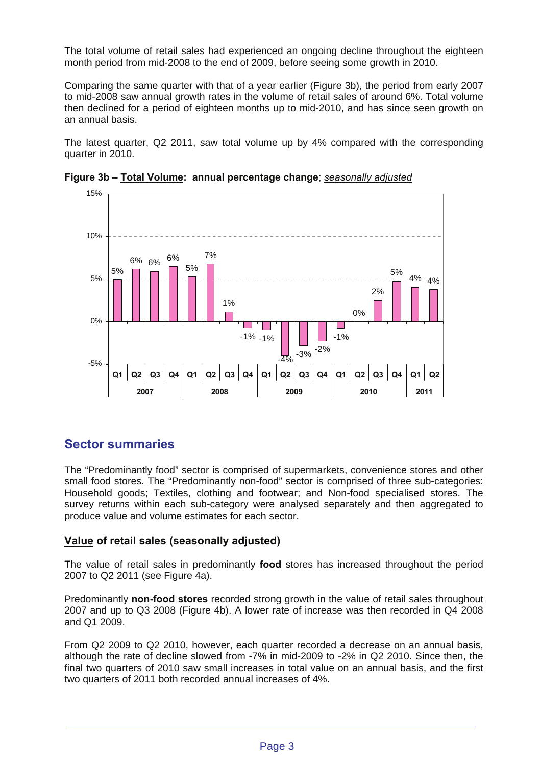The total volume of retail sales had experienced an ongoing decline throughout the eighteen month period from mid-2008 to the end of 2009, before seeing some growth in 2010.

Comparing the same quarter with that of a year earlier (Figure 3b), the period from early 2007 to mid-2008 saw annual growth rates in the volume of retail sales of around 6%. Total volume then declined for a period of eighteen months up to mid-2010, and has since seen growth on an annual basis.

The latest quarter, Q2 2011, saw total volume up by 4% compared with the corresponding quarter in 2010.



**Figure 3b – Total Volume: annual percentage change**; *seasonally adjusted*

## **Sector summaries**

The "Predominantly food" sector is comprised of supermarkets, convenience stores and other small food stores. The "Predominantly non-food" sector is comprised of three sub-categories: Household goods; Textiles, clothing and footwear; and Non-food specialised stores. The survey returns within each sub-category were analysed separately and then aggregated to produce value and volume estimates for each sector.

## **Value of retail sales (seasonally adjusted)**

The value of retail sales in predominantly **food** stores has increased throughout the period 2007 to Q2 2011 (see Figure 4a).

Predominantly **non-food stores** recorded strong growth in the value of retail sales throughout 2007 and up to Q3 2008 (Figure 4b). A lower rate of increase was then recorded in Q4 2008 and Q1 2009.

From Q2 2009 to Q2 2010, however, each quarter recorded a decrease on an annual basis, although the rate of decline slowed from -7% in mid-2009 to -2% in Q2 2010. Since then, the final two quarters of 2010 saw small increases in total value on an annual basis, and the first two quarters of 2011 both recorded annual increases of 4%.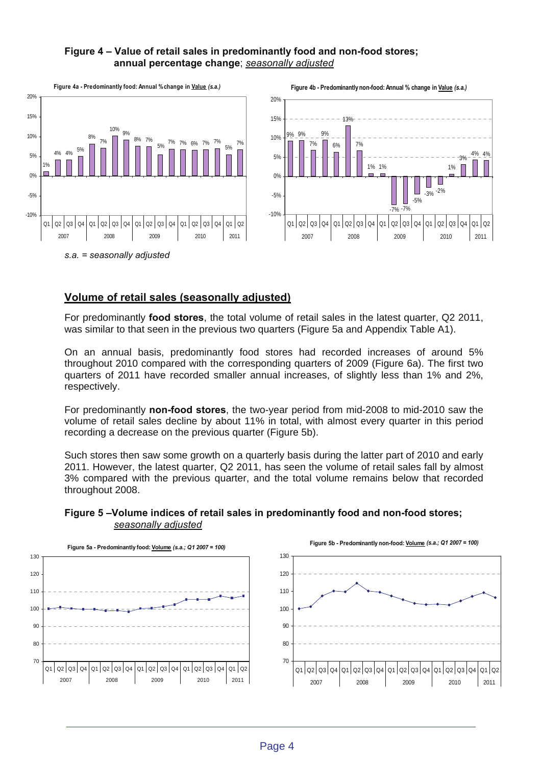## **Figure 4 – Value of retail sales in predominantly food and non-food stores; annual percentage change**; *seasonally adjusted*



## **Volume of retail sales (seasonally adjusted)**

For predominantly **food stores**, the total volume of retail sales in the latest quarter, Q2 2011, was similar to that seen in the previous two quarters (Figure 5a and Appendix Table A1).

On an annual basis, predominantly food stores had recorded increases of around 5% throughout 2010 compared with the corresponding quarters of 2009 (Figure 6a). The first two quarters of 2011 have recorded smaller annual increases, of slightly less than 1% and 2%, respectively.

For predominantly **non-food stores**, the two-year period from mid-2008 to mid-2010 saw the volume of retail sales decline by about 11% in total, with almost every quarter in this period recording a decrease on the previous quarter (Figure 5b).

Such stores then saw some growth on a quarterly basis during the latter part of 2010 and early 2011. However, the latest quarter, Q2 2011, has seen the volume of retail sales fall by almost 3% compared with the previous quarter, and the total volume remains below that recorded throughout 2008.



### **Figure 5 –Volume indices of retail sales in predominantly food and non-food stores;** *seasonally adjusted*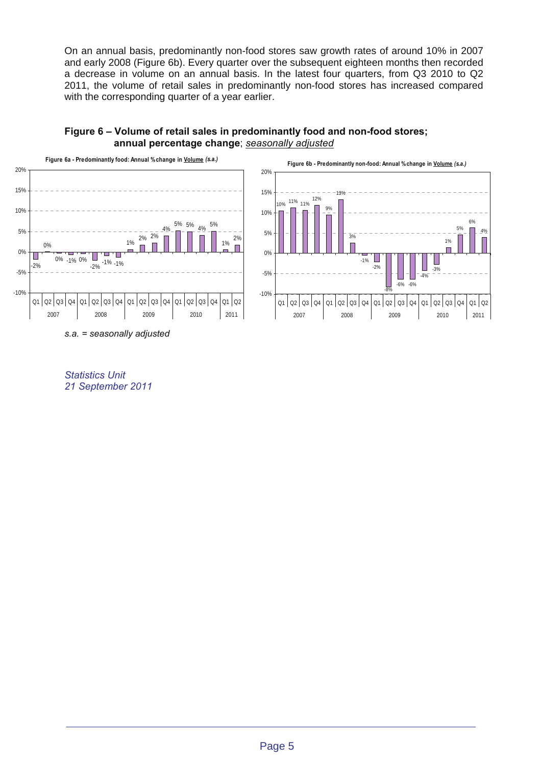On an annual basis, predominantly non-food stores saw growth rates of around 10% in 2007 and early 2008 (Figure 6b). Every quarter over the subsequent eighteen months then recorded a decrease in volume on an annual basis. In the latest four quarters, from Q3 2010 to Q2 2011, the volume of retail sales in predominantly non-food stores has increased compared with the corresponding quarter of a year earlier.



## **Figure 6 – Volume of retail sales in predominantly food and non-food stores; annual percentage change**; *seasonally adjusted*

*Statistics Unit 21 September 2011*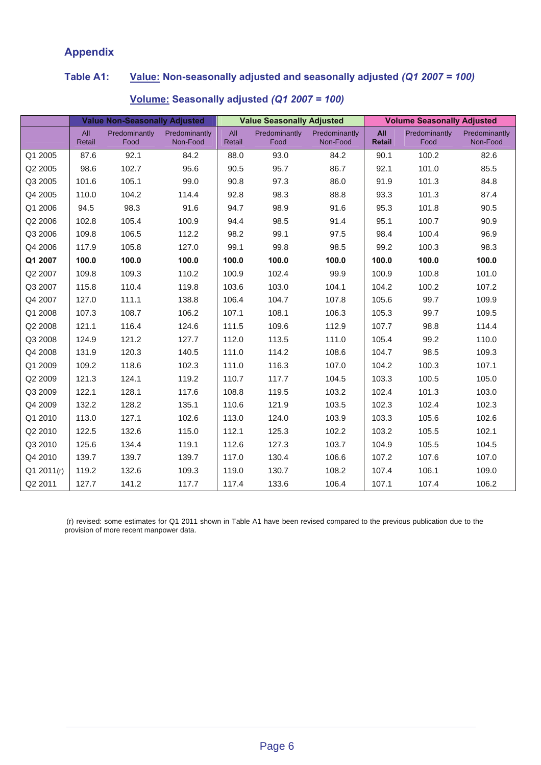# **Appendix**

# **Table A1: Value: Non-seasonally adjusted and seasonally adjusted** *(Q1 2007 = 100)*

|            | <b>Value Non-Seasonally Adjusted</b> |                       |                           | <b>Value Seasonally Adjusted</b> |                       |                           | <b>Volume Seasonally Adjusted</b> |                       |                           |
|------------|--------------------------------------|-----------------------|---------------------------|----------------------------------|-----------------------|---------------------------|-----------------------------------|-----------------------|---------------------------|
|            | All<br>Retail                        | Predominantly<br>Food | Predominantly<br>Non-Food | All<br>Retail                    | Predominantly<br>Food | Predominantly<br>Non-Food | <b>All</b><br><b>Retail</b>       | Predominantly<br>Food | Predominantly<br>Non-Food |
| Q1 2005    | 87.6                                 | 92.1                  | 84.2                      | 88.0                             | 93.0                  | 84.2                      | 90.1                              | 100.2                 | 82.6                      |
| Q2 2005    | 98.6                                 | 102.7                 | 95.6                      | 90.5                             | 95.7                  | 86.7                      | 92.1                              | 101.0                 | 85.5                      |
| Q3 2005    | 101.6                                | 105.1                 | 99.0                      | 90.8                             | 97.3                  | 86.0                      | 91.9                              | 101.3                 | 84.8                      |
| Q4 2005    | 110.0                                | 104.2                 | 114.4                     | 92.8                             | 98.3                  | 88.8                      | 93.3                              | 101.3                 | 87.4                      |
| Q1 2006    | 94.5                                 | 98.3                  | 91.6                      | 94.7                             | 98.9                  | 91.6                      | 95.3                              | 101.8                 | 90.5                      |
| Q2 2006    | 102.8                                | 105.4                 | 100.9                     | 94.4                             | 98.5                  | 91.4                      | 95.1                              | 100.7                 | 90.9                      |
| Q3 2006    | 109.8                                | 106.5                 | 112.2                     | 98.2                             | 99.1                  | 97.5                      | 98.4                              | 100.4                 | 96.9                      |
| Q4 2006    | 117.9                                | 105.8                 | 127.0                     | 99.1                             | 99.8                  | 98.5                      | 99.2                              | 100.3                 | 98.3                      |
| Q1 2007    | 100.0                                | 100.0                 | 100.0                     | 100.0                            | 100.0                 | 100.0                     | 100.0                             | 100.0                 | 100.0                     |
| Q2 2007    | 109.8                                | 109.3                 | 110.2                     | 100.9                            | 102.4                 | 99.9                      | 100.9                             | 100.8                 | 101.0                     |
| Q3 2007    | 115.8                                | 110.4                 | 119.8                     | 103.6                            | 103.0                 | 104.1                     | 104.2                             | 100.2                 | 107.2                     |
| Q4 2007    | 127.0                                | 111.1                 | 138.8                     | 106.4                            | 104.7                 | 107.8                     | 105.6                             | 99.7                  | 109.9                     |
| Q1 2008    | 107.3                                | 108.7                 | 106.2                     | 107.1                            | 108.1                 | 106.3                     | 105.3                             | 99.7                  | 109.5                     |
| Q2 2008    | 121.1                                | 116.4                 | 124.6                     | 111.5                            | 109.6                 | 112.9                     | 107.7                             | 98.8                  | 114.4                     |
| Q3 2008    | 124.9                                | 121.2                 | 127.7                     | 112.0                            | 113.5                 | 111.0                     | 105.4                             | 99.2                  | 110.0                     |
| Q4 2008    | 131.9                                | 120.3                 | 140.5                     | 111.0                            | 114.2                 | 108.6                     | 104.7                             | 98.5                  | 109.3                     |
| Q1 2009    | 109.2                                | 118.6                 | 102.3                     | 111.0                            | 116.3                 | 107.0                     | 104.2                             | 100.3                 | 107.1                     |
| Q2 2009    | 121.3                                | 124.1                 | 119.2                     | 110.7                            | 117.7                 | 104.5                     | 103.3                             | 100.5                 | 105.0                     |
| Q3 2009    | 122.1                                | 128.1                 | 117.6                     | 108.8                            | 119.5                 | 103.2                     | 102.4                             | 101.3                 | 103.0                     |
| Q4 2009    | 132.2                                | 128.2                 | 135.1                     | 110.6                            | 121.9                 | 103.5                     | 102.3                             | 102.4                 | 102.3                     |
| Q1 2010    | 113.0                                | 127.1                 | 102.6                     | 113.0                            | 124.0                 | 103.9                     | 103.3                             | 105.6                 | 102.6                     |
| Q2 2010    | 122.5                                | 132.6                 | 115.0                     | 112.1                            | 125.3                 | 102.2                     | 103.2                             | 105.5                 | 102.1                     |
| Q3 2010    | 125.6                                | 134.4                 | 119.1                     | 112.6                            | 127.3                 | 103.7                     | 104.9                             | 105.5                 | 104.5                     |
| Q4 2010    | 139.7                                | 139.7                 | 139.7                     | 117.0                            | 130.4                 | 106.6                     | 107.2                             | 107.6                 | 107.0                     |
| Q1 2011(r) | 119.2                                | 132.6                 | 109.3                     | 119.0                            | 130.7                 | 108.2                     | 107.4                             | 106.1                 | 109.0                     |
| Q2 2011    | 127.7                                | 141.2                 | 117.7                     | 117.4                            | 133.6                 | 106.4                     | 107.1                             | 107.4                 | 106.2                     |

## **Volume: Seasonally adjusted** *(Q1 2007 = 100)*

 (r) revised: some estimates for Q1 2011 shown in Table A1 have been revised compared to the previous publication due to the provision of more recent manpower data.